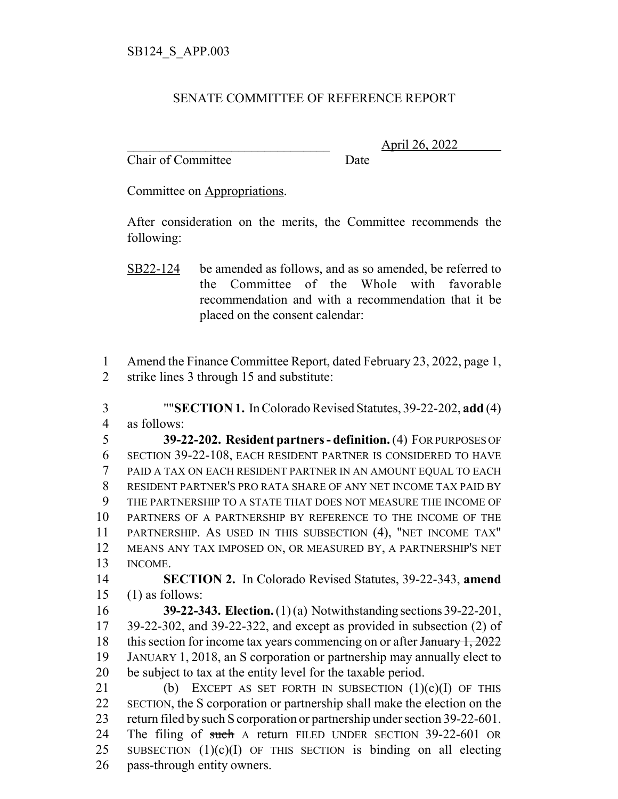## SENATE COMMITTEE OF REFERENCE REPORT

Chair of Committee Date

\_\_\_\_\_\_\_\_\_\_\_\_\_\_\_\_\_\_\_\_\_\_\_\_\_\_\_\_\_\_\_ April 26, 2022

Committee on Appropriations.

After consideration on the merits, the Committee recommends the following:

1 Amend the Finance Committee Report, dated February 23, 2022, page 1, 2 strike lines 3 through 15 and substitute:

3 ""**SECTION 1.** In Colorado Revised Statutes, 39-22-202, **add** (4) 4 as follows:

 **39-22-202. Resident partners - definition.** (4) FOR PURPOSES OF SECTION 39-22-108, EACH RESIDENT PARTNER IS CONSIDERED TO HAVE PAID A TAX ON EACH RESIDENT PARTNER IN AN AMOUNT EQUAL TO EACH RESIDENT PARTNER'S PRO RATA SHARE OF ANY NET INCOME TAX PAID BY THE PARTNERSHIP TO A STATE THAT DOES NOT MEASURE THE INCOME OF PARTNERS OF A PARTNERSHIP BY REFERENCE TO THE INCOME OF THE PARTNERSHIP. AS USED IN THIS SUBSECTION (4), "NET INCOME TAX" MEANS ANY TAX IMPOSED ON, OR MEASURED BY, A PARTNERSHIP'S NET 13 INCOME.

14 **SECTION 2.** In Colorado Revised Statutes, 39-22-343, **amend** 15 (1) as follows:

 **39-22-343. Election.** (1) (a) Notwithstanding sections 39-22-201, 39-22-302, and 39-22-322, and except as provided in subsection (2) of 18 this section for income tax years commencing on or after  $\frac{1}{2022}$  JANUARY 1, 2018, an S corporation or partnership may annually elect to be subject to tax at the entity level for the taxable period.

21 (b) EXCEPT AS SET FORTH IN SUBSECTION  $(1)(c)(I)$  OF THIS 22 SECTION, the S corporation or partnership shall make the election on the 23 return filed by such S corporation or partnership under section 39-22-601. 24 The filing of such A return FILED UNDER SECTION 39-22-601 OR 25 SUBSECTION  $(1)(c)(I)$  OF THIS SECTION is binding on all electing 26 pass-through entity owners.

SB22-124 be amended as follows, and as so amended, be referred to the Committee of the Whole with favorable recommendation and with a recommendation that it be placed on the consent calendar: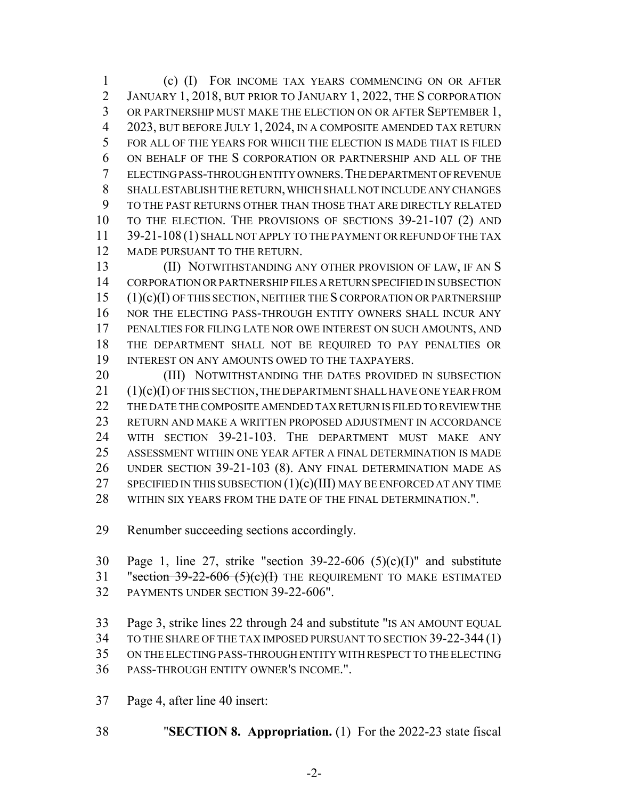(c) (I) FOR INCOME TAX YEARS COMMENCING ON OR AFTER JANUARY 1, 2018, BUT PRIOR TO JANUARY 1, 2022, THE S CORPORATION OR PARTNERSHIP MUST MAKE THE ELECTION ON OR AFTER SEPTEMBER 1, 2023, BUT BEFORE JULY 1, 2024, IN A COMPOSITE AMENDED TAX RETURN FOR ALL OF THE YEARS FOR WHICH THE ELECTION IS MADE THAT IS FILED ON BEHALF OF THE S CORPORATION OR PARTNERSHIP AND ALL OF THE ELECTING PASS-THROUGH ENTITY OWNERS.THE DEPARTMENT OF REVENUE SHALL ESTABLISH THE RETURN, WHICH SHALL NOT INCLUDE ANY CHANGES TO THE PAST RETURNS OTHER THAN THOSE THAT ARE DIRECTLY RELATED TO THE ELECTION. THE PROVISIONS OF SECTIONS 39-21-107 (2) AND 11 39-21-108 (1) SHALL NOT APPLY TO THE PAYMENT OR REFUND OF THE TAX 12 MADE PURSUANT TO THE RETURN.

**(II) NOTWITHSTANDING ANY OTHER PROVISION OF LAW, IF AN S**  CORPORATION OR PARTNERSHIP FILES A RETURN SPECIFIED IN SUBSECTION (1)(c)(I) OF THIS SECTION, NEITHER THE S CORPORATION OR PARTNERSHIP NOR THE ELECTING PASS-THROUGH ENTITY OWNERS SHALL INCUR ANY PENALTIES FOR FILING LATE NOR OWE INTEREST ON SUCH AMOUNTS, AND THE DEPARTMENT SHALL NOT BE REQUIRED TO PAY PENALTIES OR 19 INTEREST ON ANY AMOUNTS OWED TO THE TAXPAYERS.

20 (III) NOTWITHSTANDING THE DATES PROVIDED IN SUBSECTION (1)(c)(I) OF THIS SECTION, THE DEPARTMENT SHALL HAVE ONE YEAR FROM THE DATE THE COMPOSITE AMENDED TAX RETURN IS FILED TO REVIEW THE RETURN AND MAKE A WRITTEN PROPOSED ADJUSTMENT IN ACCORDANCE WITH SECTION 39-21-103. THE DEPARTMENT MUST MAKE ANY ASSESSMENT WITHIN ONE YEAR AFTER A FINAL DETERMINATION IS MADE UNDER SECTION 39-21-103 (8). ANY FINAL DETERMINATION MADE AS 27 SPECIFIED IN THIS SUBSECTION  $(1)(c)(III)$  MAY BE ENFORCED AT ANY TIME WITHIN SIX YEARS FROM THE DATE OF THE FINAL DETERMINATION.".

Renumber succeeding sections accordingly.

30 Page 1, line 27, strike "section  $39-22-606$  (5)(c)(I)" and substitute 31 "section  $39-22-606$   $(5)(c)(H)$  THE REQUIREMENT TO MAKE ESTIMATED PAYMENTS UNDER SECTION 39-22-606".

 Page 3, strike lines 22 through 24 and substitute "IS AN AMOUNT EQUAL TO THE SHARE OF THE TAX IMPOSED PURSUANT TO SECTION 39-22-344 (1) ON THE ELECTING PASS-THROUGH ENTITY WITH RESPECT TO THE ELECTING

PASS-THROUGH ENTITY OWNER'S INCOME.".

Page 4, after line 40 insert:

"**SECTION 8. Appropriation.** (1) For the 2022-23 state fiscal